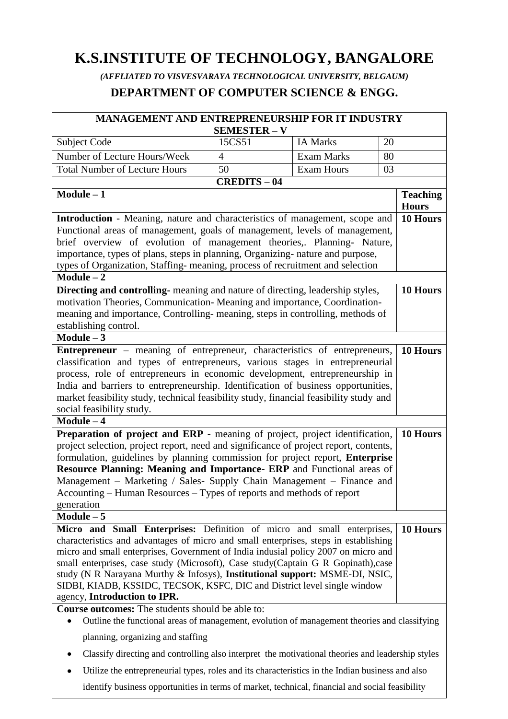# **K.S.INSTITUTE OF TECHNOLOGY, BANGALORE**

*(AFFLIATED TO VISVESVARAYA TECHNOLOGICAL UNIVERSITY, BELGAUM)* **DEPARTMENT OF COMPUTER SCIENCE & ENGG.**

| MANAGEMENT AND ENTREPRENEURSHIP FOR IT INDUSTRY                                                                                                                             |                                                                                       |                   |                                 |
|-----------------------------------------------------------------------------------------------------------------------------------------------------------------------------|---------------------------------------------------------------------------------------|-------------------|---------------------------------|
|                                                                                                                                                                             | <b>SEMESTER - V</b>                                                                   |                   |                                 |
| Subject Code                                                                                                                                                                | 15CS51                                                                                | <b>IA Marks</b>   | 20                              |
| Number of Lecture Hours/Week                                                                                                                                                | $\overline{4}$                                                                        | <b>Exam Marks</b> | 80                              |
| <b>Total Number of Lecture Hours</b>                                                                                                                                        | 50                                                                                    | <b>Exam Hours</b> | 03                              |
|                                                                                                                                                                             | <b>CREDITS-04</b>                                                                     |                   |                                 |
| $Module - 1$                                                                                                                                                                |                                                                                       |                   | <b>Teaching</b><br><b>Hours</b> |
| <b>Introduction</b> - Meaning, nature and characteristics of management, scope and                                                                                          |                                                                                       |                   | 10 Hours                        |
| Functional areas of management, goals of management, levels of management,                                                                                                  |                                                                                       |                   |                                 |
| brief overview of evolution of management theories,. Planning- Nature,                                                                                                      |                                                                                       |                   |                                 |
| importance, types of plans, steps in planning, Organizing- nature and purpose,                                                                                              |                                                                                       |                   |                                 |
| types of Organization, Staffing- meaning, process of recruitment and selection                                                                                              |                                                                                       |                   |                                 |
| Module $\overline{-2}$                                                                                                                                                      |                                                                                       |                   |                                 |
| Directing and controlling- meaning and nature of directing, leadership styles,                                                                                              |                                                                                       |                   | 10 Hours                        |
| motivation Theories, Communication-Meaning and importance, Coordination-                                                                                                    |                                                                                       |                   |                                 |
| meaning and importance, Controlling-meaning, steps in controlling, methods of                                                                                               |                                                                                       |                   |                                 |
| establishing control.<br>$Module - 3$                                                                                                                                       |                                                                                       |                   |                                 |
|                                                                                                                                                                             |                                                                                       |                   | 10 Hours                        |
| <b>Entrepreneur</b> – meaning of entrepreneur, characteristics of entrepreneurs,<br>classification and types of entrepreneurs, various stages in entrepreneurial            |                                                                                       |                   |                                 |
| process, role of entrepreneurs in economic development, entrepreneurship in                                                                                                 |                                                                                       |                   |                                 |
|                                                                                                                                                                             |                                                                                       |                   |                                 |
| India and barriers to entrepreneurship. Identification of business opportunities,<br>market feasibility study, technical feasibility study, financial feasibility study and |                                                                                       |                   |                                 |
| social feasibility study.                                                                                                                                                   |                                                                                       |                   |                                 |
| $Module - 4$                                                                                                                                                                |                                                                                       |                   |                                 |
| Preparation of project and ERP - meaning of project, project identification,                                                                                                |                                                                                       |                   | 10 Hours                        |
|                                                                                                                                                                             | project selection, project report, need and significance of project report, contents, |                   |                                 |
| formulation, guidelines by planning commission for project report, Enterprise                                                                                               |                                                                                       |                   |                                 |
| Resource Planning: Meaning and Importance- ERP and Functional areas of                                                                                                      |                                                                                       |                   |                                 |
| Management - Marketing / Sales- Supply Chain Management - Finance and                                                                                                       |                                                                                       |                   |                                 |
| Accounting – Human Resources – Types of reports and methods of report                                                                                                       |                                                                                       |                   |                                 |
| generation                                                                                                                                                                  |                                                                                       |                   |                                 |
| $Module - 5$                                                                                                                                                                |                                                                                       |                   |                                 |
| Micro and Small Enterprises: Definition of micro and small enterprises,                                                                                                     |                                                                                       |                   | 10 Hours                        |
| characteristics and advantages of micro and small enterprises, steps in establishing                                                                                        |                                                                                       |                   |                                 |
| micro and small enterprises, Government of India indusial policy 2007 on micro and                                                                                          |                                                                                       |                   |                                 |
| small enterprises, case study (Microsoft), Case study (Captain G R Gopinath), case                                                                                          |                                                                                       |                   |                                 |
| study (N R Narayana Murthy & Infosys), Institutional support: MSME-DI, NSIC,<br>SIDBI, KIADB, KSSIDC, TECSOK, KSFC, DIC and District level single window                    |                                                                                       |                   |                                 |
|                                                                                                                                                                             |                                                                                       |                   |                                 |
| agency, Introduction to IPR.                                                                                                                                                |                                                                                       |                   |                                 |
| Course outcomes: The students should be able to:<br>Outline the functional areas of management, evolution of management theories and classifying                            |                                                                                       |                   |                                 |
| planning, organizing and staffing                                                                                                                                           |                                                                                       |                   |                                 |
| Classify directing and controlling also interpret the motivational theories and leadership styles                                                                           |                                                                                       |                   |                                 |
| Utilize the entrepreneurial types, roles and its characteristics in the Indian business and also                                                                            |                                                                                       |                   |                                 |
| identify business opportunities in terms of market, technical, financial and social feasibility                                                                             |                                                                                       |                   |                                 |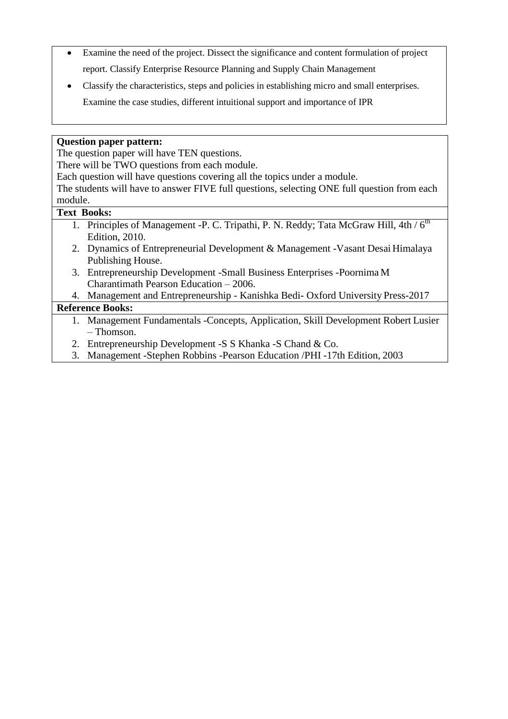- Examine the need of the project. Dissect the significance and content formulation of project  $\bullet$ report. Classify Enterprise Resource Planning and Supply Chain Management
- Classify the characteristics, steps and policies in establishing micro and small enterprises.
	- Examine the case studies, different intuitional support and importance of IPR

#### **Question paper pattern:**

The question paper will have TEN questions.

There will be TWO questions from each module.

Each question will have questions covering all the topics under a module.

The students will have to answer FIVE full questions, selecting ONE full question from each module.

#### **Text Books:**

- 1. Principles of Management -P. C. Tripathi, P. N. Reddy; Tata McGraw Hill,  $4th / 6<sup>th</sup>$ Edition, 2010.
- 2. Dynamics of Entrepreneurial Development & Management -Vasant Desai Himalaya Publishing House.
- 3. Entrepreneurship Development -Small Business Enterprises -Poornima M Charantimath Pearson Education – 2006.
- 4. Management and Entrepreneurship Kanishka Bedi- Oxford University Press-2017

#### **Reference Books:**

- 1. Management Fundamentals -Concepts, Application, Skill Development Robert Lusier – Thomson.
- 2. Entrepreneurship Development -S S Khanka -S Chand & Co.
- 3. Management -Stephen Robbins -Pearson Education /PHI -17th Edition, 2003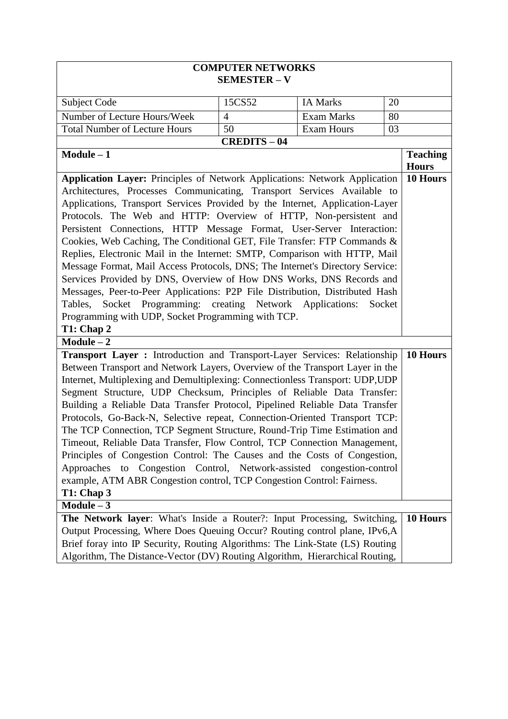| <b>COMPUTER NETWORKS</b><br><b>SEMESTER - V</b>                                                                                                                                                                                                                                                                                                                                                                                                                                                                                                                                                                                                                                                                                                                                                                                                                                                                                                       |                   |                   |                                 |
|-------------------------------------------------------------------------------------------------------------------------------------------------------------------------------------------------------------------------------------------------------------------------------------------------------------------------------------------------------------------------------------------------------------------------------------------------------------------------------------------------------------------------------------------------------------------------------------------------------------------------------------------------------------------------------------------------------------------------------------------------------------------------------------------------------------------------------------------------------------------------------------------------------------------------------------------------------|-------------------|-------------------|---------------------------------|
| Subject Code                                                                                                                                                                                                                                                                                                                                                                                                                                                                                                                                                                                                                                                                                                                                                                                                                                                                                                                                          | 15CS52            | <b>IA Marks</b>   | 20                              |
| Number of Lecture Hours/Week                                                                                                                                                                                                                                                                                                                                                                                                                                                                                                                                                                                                                                                                                                                                                                                                                                                                                                                          | $\overline{4}$    | <b>Exam Marks</b> | 80                              |
| <b>Total Number of Lecture Hours</b>                                                                                                                                                                                                                                                                                                                                                                                                                                                                                                                                                                                                                                                                                                                                                                                                                                                                                                                  | 50                | <b>Exam Hours</b> | 03                              |
|                                                                                                                                                                                                                                                                                                                                                                                                                                                                                                                                                                                                                                                                                                                                                                                                                                                                                                                                                       | <b>CREDITS-04</b> |                   |                                 |
| $Module - 1$                                                                                                                                                                                                                                                                                                                                                                                                                                                                                                                                                                                                                                                                                                                                                                                                                                                                                                                                          |                   |                   | <b>Teaching</b><br><b>Hours</b> |
| Application Layer: Principles of Network Applications: Network Application<br>Architectures, Processes Communicating, Transport Services Available to<br>Applications, Transport Services Provided by the Internet, Application-Layer<br>Protocols. The Web and HTTP: Overview of HTTP, Non-persistent and<br>Persistent Connections, HTTP Message Format, User-Server Interaction:<br>Cookies, Web Caching, The Conditional GET, File Transfer: FTP Commands &<br>Replies, Electronic Mail in the Internet: SMTP, Comparison with HTTP, Mail<br>Message Format, Mail Access Protocols, DNS; The Internet's Directory Service:<br>Services Provided by DNS, Overview of How DNS Works, DNS Records and<br>Messages, Peer-to-Peer Applications: P2P File Distribution, Distributed Hash<br>Socket Programming: creating Network Applications:<br>Socket<br>Tables,<br>Programming with UDP, Socket Programming with TCP.<br>T1: Chap 2<br>$Module - 2$ |                   |                   | 10 Hours                        |
| Transport Layer : Introduction and Transport-Layer Services: Relationship<br>Between Transport and Network Layers, Overview of the Transport Layer in the<br>Internet, Multiplexing and Demultiplexing: Connectionless Transport: UDP, UDP<br>Segment Structure, UDP Checksum, Principles of Reliable Data Transfer:<br>Building a Reliable Data Transfer Protocol, Pipelined Reliable Data Transfer<br>Protocols, Go-Back-N, Selective repeat, Connection-Oriented Transport TCP:<br>The TCP Connection, TCP Segment Structure, Round-Trip Time Estimation and<br>Timeout, Reliable Data Transfer, Flow Control, TCP Connection Management,<br>Principles of Congestion Control: The Causes and the Costs of Congestion,<br>Approaches to Congestion Control, Network-assisted congestion-control<br>example, ATM ABR Congestion control, TCP Congestion Control: Fairness.<br>T1: Chap 3<br>$Module - 3$                                            |                   |                   | 10 Hours                        |
| The Network layer: What's Inside a Router?: Input Processing, Switching,<br>Output Processing, Where Does Queuing Occur? Routing control plane, IPv6,A<br>Brief foray into IP Security, Routing Algorithms: The Link-State (LS) Routing<br>Algorithm, The Distance-Vector (DV) Routing Algorithm, Hierarchical Routing,                                                                                                                                                                                                                                                                                                                                                                                                                                                                                                                                                                                                                               |                   |                   | 10 Hours                        |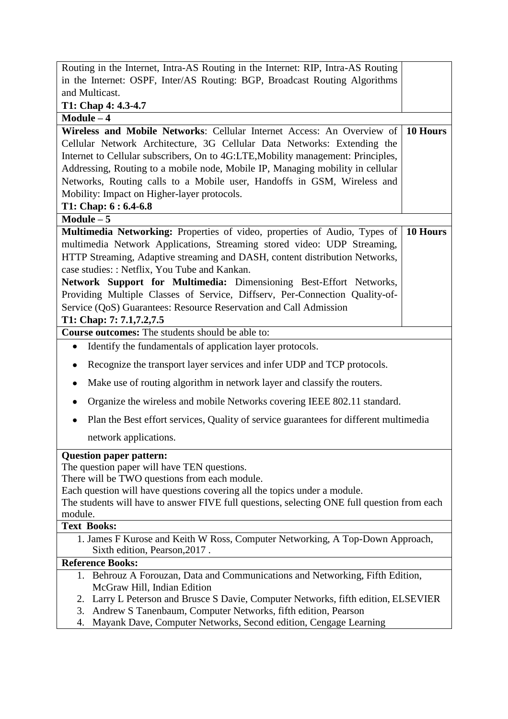| Routing in the Internet, Intra-AS Routing in the Internet: RIP, Intra-AS Routing                                                                                         |          |  |  |
|--------------------------------------------------------------------------------------------------------------------------------------------------------------------------|----------|--|--|
| in the Internet: OSPF, Inter/AS Routing: BGP, Broadcast Routing Algorithms                                                                                               |          |  |  |
| and Multicast.                                                                                                                                                           |          |  |  |
| T1: Chap 4: 4.3-4.7                                                                                                                                                      |          |  |  |
| $Module - 4$                                                                                                                                                             |          |  |  |
| Wireless and Mobile Networks: Cellular Internet Access: An Overview of                                                                                                   | 10 Hours |  |  |
| Cellular Network Architecture, 3G Cellular Data Networks: Extending the                                                                                                  |          |  |  |
| Internet to Cellular subscribers, On to 4G:LTE, Mobility management: Principles,                                                                                         |          |  |  |
| Addressing, Routing to a mobile node, Mobile IP, Managing mobility in cellular                                                                                           |          |  |  |
| Networks, Routing calls to a Mobile user, Handoffs in GSM, Wireless and                                                                                                  |          |  |  |
| Mobility: Impact on Higher-layer protocols.<br>T1: Chap: $6:6.4-6.8$                                                                                                     |          |  |  |
| Module $-5$                                                                                                                                                              |          |  |  |
| Multimedia Networking: Properties of video, properties of Audio, Types of                                                                                                | 10 Hours |  |  |
| multimedia Network Applications, Streaming stored video: UDP Streaming,                                                                                                  |          |  |  |
| HTTP Streaming, Adaptive streaming and DASH, content distribution Networks,                                                                                              |          |  |  |
| case studies: : Netflix, You Tube and Kankan.                                                                                                                            |          |  |  |
| Network Support for Multimedia: Dimensioning Best-Effort Networks,                                                                                                       |          |  |  |
| Providing Multiple Classes of Service, Diffserv, Per-Connection Quality-of-                                                                                              |          |  |  |
| Service (QoS) Guarantees: Resource Reservation and Call Admission                                                                                                        |          |  |  |
| T1: Chap: 7: 7.1, 7.2, 7.5                                                                                                                                               |          |  |  |
| <b>Course outcomes:</b> The students should be able to:                                                                                                                  |          |  |  |
| Identify the fundamentals of application layer protocols.<br>٠                                                                                                           |          |  |  |
| Recognize the transport layer services and infer UDP and TCP protocols.<br>٠                                                                                             |          |  |  |
| Make use of routing algorithm in network layer and classify the routers.                                                                                                 |          |  |  |
| Organize the wireless and mobile Networks covering IEEE 802.11 standard.<br>٠                                                                                            |          |  |  |
| Plan the Best effort services, Quality of service guarantees for different multimedia                                                                                    |          |  |  |
| network applications.                                                                                                                                                    |          |  |  |
| <b>Question paper pattern:</b>                                                                                                                                           |          |  |  |
| The question paper will have TEN questions.                                                                                                                              |          |  |  |
| There will be TWO questions from each module.                                                                                                                            |          |  |  |
| Each question will have questions covering all the topics under a module.<br>The students will have to answer FIVE full questions, selecting ONE full question from each |          |  |  |
| module.                                                                                                                                                                  |          |  |  |
| <b>Text Books:</b>                                                                                                                                                       |          |  |  |
| 1. James F Kurose and Keith W Ross, Computer Networking, A Top-Down Approach,                                                                                            |          |  |  |
| Sixth edition, Pearson, 2017.                                                                                                                                            |          |  |  |
| <b>Reference Books:</b>                                                                                                                                                  |          |  |  |
| 1. Behrouz A Forouzan, Data and Communications and Networking, Fifth Edition,<br>McGraw Hill, Indian Edition                                                             |          |  |  |
| 2. Larry L Peterson and Brusce S Davie, Computer Networks, fifth edition, ELSEVIER                                                                                       |          |  |  |
| Andrew S Tanenbaum, Computer Networks, fifth edition, Pearson<br>3.                                                                                                      |          |  |  |
| Mayank Dave, Computer Networks, Second edition, Cengage Learning<br>4.                                                                                                   |          |  |  |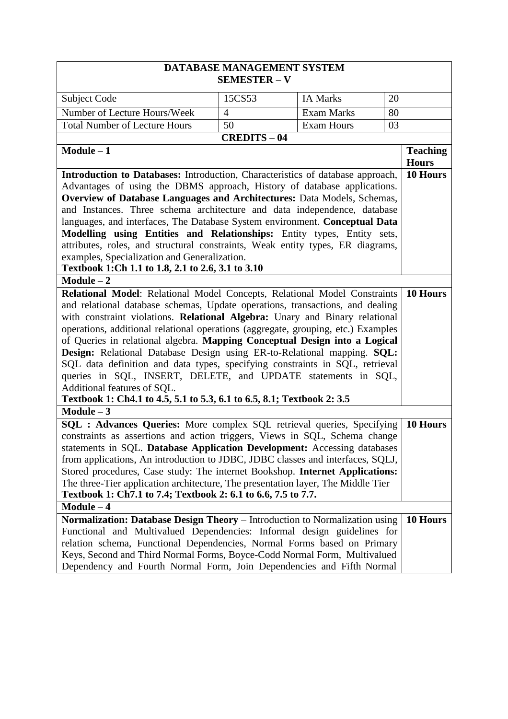| DATABASE MANAGEMENT SYSTEM                                                        |                     |                   |                 |  |
|-----------------------------------------------------------------------------------|---------------------|-------------------|-----------------|--|
|                                                                                   | <b>SEMESTER - V</b> |                   |                 |  |
| Subject Code                                                                      | 15CS53              | <b>IA Marks</b>   | 20              |  |
| Number of Lecture Hours/Week                                                      | $\overline{4}$      | <b>Exam Marks</b> | 80              |  |
| <b>Total Number of Lecture Hours</b>                                              | 50                  | <b>Exam Hours</b> | 03              |  |
|                                                                                   | <b>CREDITS-04</b>   |                   |                 |  |
| $Module - 1$                                                                      |                     |                   | <b>Teaching</b> |  |
|                                                                                   |                     |                   | <b>Hours</b>    |  |
| Introduction to Databases: Introduction, Characteristics of database approach,    |                     |                   | 10 Hours        |  |
| Advantages of using the DBMS approach, History of database applications.          |                     |                   |                 |  |
| Overview of Database Languages and Architectures: Data Models, Schemas,           |                     |                   |                 |  |
| and Instances. Three schema architecture and data independence, database          |                     |                   |                 |  |
| languages, and interfaces, The Database System environment. Conceptual Data       |                     |                   |                 |  |
| Modelling using Entities and Relationships: Entity types, Entity sets,            |                     |                   |                 |  |
| attributes, roles, and structural constraints, Weak entity types, ER diagrams,    |                     |                   |                 |  |
| examples, Specialization and Generalization.                                      |                     |                   |                 |  |
| Textbook 1:Ch 1.1 to 1.8, 2.1 to 2.6, 3.1 to 3.10                                 |                     |                   |                 |  |
| $Module - 2$                                                                      |                     |                   |                 |  |
| Relational Model: Relational Model Concepts, Relational Model Constraints         |                     |                   | 10 Hours        |  |
| and relational database schemas, Update operations, transactions, and dealing     |                     |                   |                 |  |
| with constraint violations. Relational Algebra: Unary and Binary relational       |                     |                   |                 |  |
| operations, additional relational operations (aggregate, grouping, etc.) Examples |                     |                   |                 |  |
| of Queries in relational algebra. Mapping Conceptual Design into a Logical        |                     |                   |                 |  |
| Design: Relational Database Design using ER-to-Relational mapping. SQL:           |                     |                   |                 |  |
| SQL data definition and data types, specifying constraints in SQL, retrieval      |                     |                   |                 |  |
| queries in SQL, INSERT, DELETE, and UPDATE statements in SQL,                     |                     |                   |                 |  |
| Additional features of SQL.                                                       |                     |                   |                 |  |
| Textbook 1: Ch4.1 to 4.5, 5.1 to 5.3, 6.1 to 6.5, 8.1; Textbook 2: 3.5            |                     |                   |                 |  |
| Module $-3$                                                                       |                     |                   |                 |  |
| SQL: Advances Queries: More complex SQL retrieval queries, Specifying             |                     |                   | 10 Hours        |  |
| constraints as assertions and action triggers, Views in SQL, Schema change        |                     |                   |                 |  |
| statements in SQL. Database Application Development: Accessing databases          |                     |                   |                 |  |
| from applications, An introduction to JDBC, JDBC classes and interfaces, SQLJ,    |                     |                   |                 |  |
| Stored procedures, Case study: The internet Bookshop. Internet Applications:      |                     |                   |                 |  |
| The three-Tier application architecture, The presentation layer, The Middle Tier  |                     |                   |                 |  |
| Textbook 1: Ch7.1 to 7.4; Textbook 2: 6.1 to 6.6, 7.5 to 7.7.                     |                     |                   |                 |  |
| $Module - 4$                                                                      |                     |                   |                 |  |
| Normalization: Database Design Theory - Introduction to Normalization using       |                     |                   | 10 Hours        |  |
| Functional and Multivalued Dependencies: Informal design guidelines for           |                     |                   |                 |  |
| relation schema, Functional Dependencies, Normal Forms based on Primary           |                     |                   |                 |  |
| Keys, Second and Third Normal Forms, Boyce-Codd Normal Form, Multivalued          |                     |                   |                 |  |
| Dependency and Fourth Normal Form, Join Dependencies and Fifth Normal             |                     |                   |                 |  |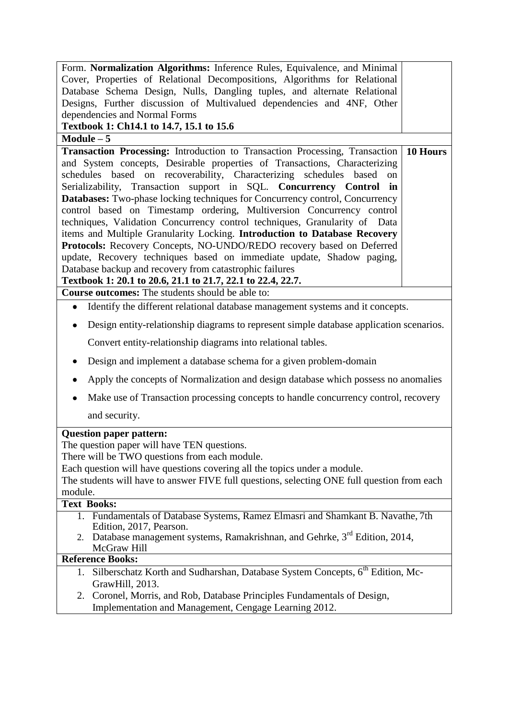| Form. Normalization Algorithms: Inference Rules, Equivalence, and Minimal                                                                      |  |  |
|------------------------------------------------------------------------------------------------------------------------------------------------|--|--|
| Cover, Properties of Relational Decompositions, Algorithms for Relational                                                                      |  |  |
| Database Schema Design, Nulls, Dangling tuples, and alternate Relational                                                                       |  |  |
| Designs, Further discussion of Multivalued dependencies and 4NF, Other                                                                         |  |  |
| dependencies and Normal Forms                                                                                                                  |  |  |
| Textbook 1: Ch14.1 to 14.7, 15.1 to 15.6                                                                                                       |  |  |
| $Module - 5$                                                                                                                                   |  |  |
| 10 Hours<br>Transaction Processing: Introduction to Transaction Processing, Transaction                                                        |  |  |
| and System concepts, Desirable properties of Transactions, Characterizing                                                                      |  |  |
| schedules based on recoverability, Characterizing schedules based<br>on<br>Serializability, Transaction support in SQL. Concurrency Control in |  |  |
| <b>Databases:</b> Two-phase locking techniques for Concurrency control, Concurrency                                                            |  |  |
| control based on Timestamp ordering, Multiversion Concurrency control                                                                          |  |  |
| techniques, Validation Concurrency control techniques, Granularity of Data                                                                     |  |  |
| items and Multiple Granularity Locking. Introduction to Database Recovery                                                                      |  |  |
| Protocols: Recovery Concepts, NO-UNDO/REDO recovery based on Deferred                                                                          |  |  |
| update, Recovery techniques based on immediate update, Shadow paging,                                                                          |  |  |
| Database backup and recovery from catastrophic failures                                                                                        |  |  |
| Textbook 1: 20.1 to 20.6, 21.1 to 21.7, 22.1 to 22.4, 22.7.                                                                                    |  |  |
| <b>Course outcomes:</b> The students should be able to:                                                                                        |  |  |
| Identify the different relational database management systems and it concepts.<br>$\bullet$                                                    |  |  |
| Design entity-relationship diagrams to represent simple database application scenarios.                                                        |  |  |
| Convert entity-relationship diagrams into relational tables.                                                                                   |  |  |
| Design and implement a database schema for a given problem-domain<br>$\bullet$                                                                 |  |  |
| Apply the concepts of Normalization and design database which possess no anomalies                                                             |  |  |
| Make use of Transaction processing concepts to handle concurrency control, recovery                                                            |  |  |
| and security.                                                                                                                                  |  |  |
| <b>Question paper pattern:</b>                                                                                                                 |  |  |
| The question paper will have TEN questions.                                                                                                    |  |  |
| There will be TWO questions from each module.                                                                                                  |  |  |
| Each question will have questions covering all the topics under a module.                                                                      |  |  |
| The students will have to answer FIVE full questions, selecting ONE full question from each                                                    |  |  |
| module.<br><b>Text Books:</b>                                                                                                                  |  |  |
| 1. Fundamentals of Database Systems, Ramez Elmasri and Shamkant B. Navathe, 7th                                                                |  |  |
| Edition, 2017, Pearson.                                                                                                                        |  |  |
| 2. Database management systems, Ramakrishnan, and Gehrke, 3 <sup>rd</sup> Edition, 2014,<br>McGraw Hill                                        |  |  |
| <b>Reference Books:</b>                                                                                                                        |  |  |
| Silberschatz Korth and Sudharshan, Database System Concepts, 6 <sup>th</sup> Edition, Mc-<br>1.<br>GrawHill, 2013.                             |  |  |
| 2. Coronel, Morris, and Rob, Database Principles Fundamentals of Design,                                                                       |  |  |
| Implementation and Management, Cengage Learning 2012.                                                                                          |  |  |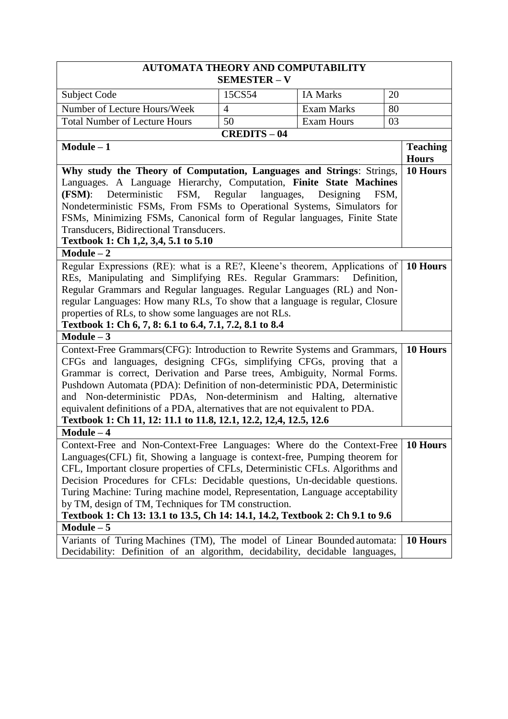| <b>AUTOMATA THEORY AND COMPUTABILITY</b>                                                                                                                     |                       |                   |                                 |
|--------------------------------------------------------------------------------------------------------------------------------------------------------------|-----------------------|-------------------|---------------------------------|
|                                                                                                                                                              | <b>SEMESTER - V</b>   |                   |                                 |
| <b>Subject Code</b>                                                                                                                                          | 15CS54                | <b>IA Marks</b>   | 20                              |
| Number of Lecture Hours/Week                                                                                                                                 | $\overline{4}$        | <b>Exam Marks</b> | 80                              |
| <b>Total Number of Lecture Hours</b>                                                                                                                         | 50                    | <b>Exam Hours</b> | 03                              |
|                                                                                                                                                              | <b>CREDITS-04</b>     |                   |                                 |
| $Module - 1$                                                                                                                                                 |                       |                   | <b>Teaching</b><br><b>Hours</b> |
| Why study the Theory of Computation, Languages and Strings: Strings,                                                                                         |                       |                   | 10 Hours                        |
| Languages. A Language Hierarchy, Computation, Finite State Machines                                                                                          |                       |                   |                                 |
| Deterministic<br>FSM,<br>(FSM):                                                                                                                              | Regular<br>languages, | Designing         | FSM,                            |
| Nondeterministic FSMs, From FSMs to Operational Systems, Simulators for                                                                                      |                       |                   |                                 |
| FSMs, Minimizing FSMs, Canonical form of Regular languages, Finite State                                                                                     |                       |                   |                                 |
| Transducers, Bidirectional Transducers.                                                                                                                      |                       |                   |                                 |
| Textbook 1: Ch 1,2, 3,4, 5.1 to 5.10                                                                                                                         |                       |                   |                                 |
| $Module - 2$                                                                                                                                                 |                       |                   |                                 |
| Regular Expressions (RE): what is a RE?, Kleene's theorem, Applications of                                                                                   |                       |                   | 10 Hours                        |
| REs, Manipulating and Simplifying REs. Regular Grammars: Definition,                                                                                         |                       |                   |                                 |
| Regular Grammars and Regular languages. Regular Languages (RL) and Non-                                                                                      |                       |                   |                                 |
| regular Languages: How many RLs, To show that a language is regular, Closure                                                                                 |                       |                   |                                 |
| properties of RLs, to show some languages are not RLs.                                                                                                       |                       |                   |                                 |
| Textbook 1: Ch 6, 7, 8: 6.1 to 6.4, 7.1, 7.2, 8.1 to 8.4                                                                                                     |                       |                   |                                 |
| $Module - 3$                                                                                                                                                 |                       |                   |                                 |
| 10 Hours<br>Context-Free Grammars(CFG): Introduction to Rewrite Systems and Grammars,                                                                        |                       |                   |                                 |
| CFGs and languages, designing CFGs, simplifying CFGs, proving that a                                                                                         |                       |                   |                                 |
| Grammar is correct, Derivation and Parse trees, Ambiguity, Normal Forms.                                                                                     |                       |                   |                                 |
| Pushdown Automata (PDA): Definition of non-deterministic PDA, Deterministic                                                                                  |                       |                   |                                 |
| and Non-deterministic PDAs, Non-determinism and Halting, alternative                                                                                         |                       |                   |                                 |
| equivalent definitions of a PDA, alternatives that are not equivalent to PDA.                                                                                |                       |                   |                                 |
| Textbook 1: Ch 11, 12: 11.1 to 11.8, 12.1, 12.2, 12,4, 12.5, 12.6                                                                                            |                       |                   |                                 |
| $Module - 4$                                                                                                                                                 |                       |                   |                                 |
| Context-Free and Non-Context-Free Languages: Where do the Context-Free                                                                                       |                       |                   | 10 Hours                        |
|                                                                                                                                                              |                       |                   |                                 |
| Languages(CFL) fit, Showing a language is context-free, Pumping theorem for<br>CFL, Important closure properties of CFLs, Deterministic CFLs. Algorithms and |                       |                   |                                 |
| Decision Procedures for CFLs: Decidable questions, Un-decidable questions.                                                                                   |                       |                   |                                 |
| Turing Machine: Turing machine model, Representation, Language acceptability                                                                                 |                       |                   |                                 |
| by TM, design of TM, Techniques for TM construction.                                                                                                         |                       |                   |                                 |
| Textbook 1: Ch 13: 13.1 to 13.5, Ch 14: 14.1, 14.2, Textbook 2: Ch 9.1 to 9.6                                                                                |                       |                   |                                 |
| Module $-\overline{5}$                                                                                                                                       |                       |                   |                                 |
| Variants of Turing Machines (TM), The model of Linear Bounded automata:                                                                                      |                       |                   | 10 Hours                        |
| Decidability: Definition of an algorithm, decidability, decidable languages,                                                                                 |                       |                   |                                 |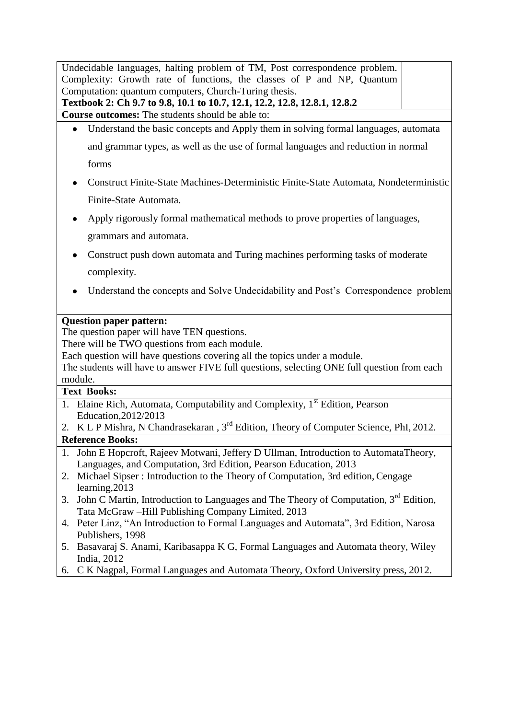|                    | Undecidable languages, halting problem of TM, Post correspondence problem.<br>Complexity: Growth rate of functions, the classes of P and NP, Quantum                                                                      |
|--------------------|---------------------------------------------------------------------------------------------------------------------------------------------------------------------------------------------------------------------------|
|                    | Computation: quantum computers, Church-Turing thesis.                                                                                                                                                                     |
|                    | Textbook 2: Ch 9.7 to 9.8, 10.1 to 10.7, 12.1, 12.2, 12.8, 12.8.1, 12.8.2<br>Course outcomes: The students should be able to:                                                                                             |
|                    | Understand the basic concepts and Apply them in solving formal languages, automata                                                                                                                                        |
|                    | and grammar types, as well as the use of formal languages and reduction in normal                                                                                                                                         |
|                    | forms                                                                                                                                                                                                                     |
|                    | Construct Finite-State Machines-Deterministic Finite-State Automata, Nondeterministic                                                                                                                                     |
|                    | Finite-State Automata.                                                                                                                                                                                                    |
|                    | Apply rigorously formal mathematical methods to prove properties of languages,                                                                                                                                            |
|                    | grammars and automata.                                                                                                                                                                                                    |
|                    | Construct push down automata and Turing machines performing tasks of moderate                                                                                                                                             |
|                    | complexity.                                                                                                                                                                                                               |
|                    | Understand the concepts and Solve Undecidability and Post's Correspondence problem                                                                                                                                        |
| module.            | There will be TWO questions from each module.<br>Each question will have questions covering all the topics under a module.<br>The students will have to answer FIVE full questions, selecting ONE full question from each |
| <b>Text Books:</b> |                                                                                                                                                                                                                           |
|                    | 1. Elaine Rich, Automata, Computability and Complexity, 1 <sup>st</sup> Edition, Pearson<br>Education, 2012/2013                                                                                                          |
| 2.                 | K L P Mishra, N Chandrasekaran, 3 <sup>rd</sup> Edition, Theory of Computer Science, PhI, 2012.                                                                                                                           |
|                    | <b>Reference Books:</b><br>1. John E Hopcroft, Rajeev Motwani, Jeffery D Ullman, Introduction to AutomataTheory,                                                                                                          |
|                    | Languages, and Computation, 3rd Edition, Pearson Education, 2013                                                                                                                                                          |
| 2.                 | Michael Sipser: Introduction to the Theory of Computation, 3rd edition, Cengage<br>learning, 2013                                                                                                                         |
| 3.                 | John C Martin, Introduction to Languages and The Theory of Computation, 3 <sup>rd</sup> Edition,<br>Tata McGraw - Hill Publishing Company Limited, 2013                                                                   |
| 4.                 | Peter Linz, "An Introduction to Formal Languages and Automata", 3rd Edition, Narosa<br>Publishers, 1998                                                                                                                   |
| 5.                 | Basavaraj S. Anami, Karibasappa K G, Formal Languages and Automata theory, Wiley                                                                                                                                          |
| 6.                 | India, 2012<br>C K Nagpal, Formal Languages and Automata Theory, Oxford University press, 2012.                                                                                                                           |
|                    |                                                                                                                                                                                                                           |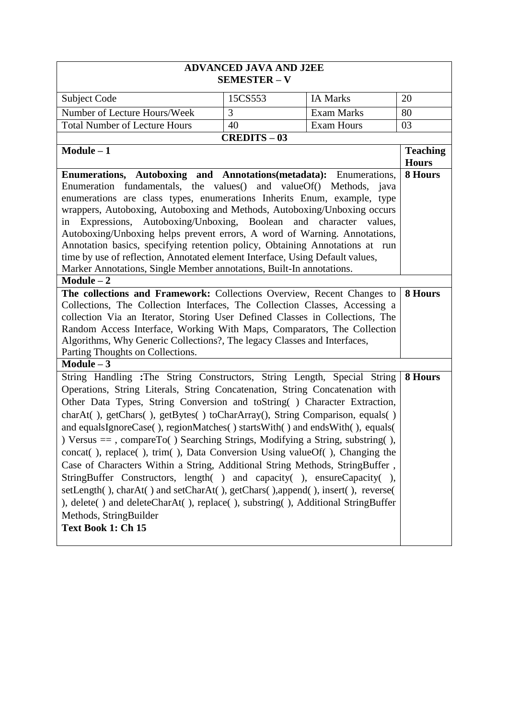| <b>ADVANCED JAVA AND J2EE</b><br><b>SEMESTER - V</b>                                                                                                                                                                                                                                                                                                                                                                                                                                                                                                                                                                                                                                                                                                                                                                                                                                                                                                                                                                                      |                   |                   |                                 |
|-------------------------------------------------------------------------------------------------------------------------------------------------------------------------------------------------------------------------------------------------------------------------------------------------------------------------------------------------------------------------------------------------------------------------------------------------------------------------------------------------------------------------------------------------------------------------------------------------------------------------------------------------------------------------------------------------------------------------------------------------------------------------------------------------------------------------------------------------------------------------------------------------------------------------------------------------------------------------------------------------------------------------------------------|-------------------|-------------------|---------------------------------|
| Subject Code                                                                                                                                                                                                                                                                                                                                                                                                                                                                                                                                                                                                                                                                                                                                                                                                                                                                                                                                                                                                                              | 15CS553           | <b>IA Marks</b>   | 20                              |
| Number of Lecture Hours/Week                                                                                                                                                                                                                                                                                                                                                                                                                                                                                                                                                                                                                                                                                                                                                                                                                                                                                                                                                                                                              | 3                 | <b>Exam Marks</b> | 80                              |
| <b>Total Number of Lecture Hours</b>                                                                                                                                                                                                                                                                                                                                                                                                                                                                                                                                                                                                                                                                                                                                                                                                                                                                                                                                                                                                      | 40                | <b>Exam Hours</b> | 03                              |
|                                                                                                                                                                                                                                                                                                                                                                                                                                                                                                                                                                                                                                                                                                                                                                                                                                                                                                                                                                                                                                           | <b>CREDITS-03</b> |                   |                                 |
| $Module - 1$                                                                                                                                                                                                                                                                                                                                                                                                                                                                                                                                                                                                                                                                                                                                                                                                                                                                                                                                                                                                                              |                   |                   | <b>Teaching</b><br><b>Hours</b> |
| <b>Enumerations, Autoboxing and Annotations (metadata):</b> Enumerations,<br>Enumeration fundamentals, the values() and valueOf() Methods, java<br>enumerations are class types, enumerations Inherits Enum, example, type<br>wrappers, Autoboxing, Autoboxing and Methods, Autoboxing/Unboxing occurs<br>Expressions, Autoboxing/Unboxing, Boolean and character values,<br>in<br>Autoboxing/Unboxing helps prevent errors, A word of Warning. Annotations,<br>Annotation basics, specifying retention policy, Obtaining Annotations at run<br>time by use of reflection, Annotated element Interface, Using Default values,<br>Marker Annotations, Single Member annotations, Built-In annotations.<br>$Module - 2$<br>The collections and Framework: Collections Overview, Recent Changes to<br>Collections, The Collection Interfaces, The Collection Classes, Accessing a<br>collection Via an Iterator, Storing User Defined Classes in Collections, The<br>Random Access Interface, Working With Maps, Comparators, The Collection |                   |                   | 8 Hours<br>8 Hours              |
| Algorithms, Why Generic Collections?, The legacy Classes and Interfaces,<br>Parting Thoughts on Collections.                                                                                                                                                                                                                                                                                                                                                                                                                                                                                                                                                                                                                                                                                                                                                                                                                                                                                                                              |                   |                   |                                 |
| Module $-3$<br>String Handling : The String Constructors, String Length, Special String<br>Operations, String Literals, String Concatenation, String Concatenation with<br>Other Data Types, String Conversion and toString () Character Extraction,<br>charAt(), getChars(), getBytes() toCharArray(), String Comparison, equals()<br>and equalsIgnoreCase(), regionMatches() startsWith() and endsWith(), equals(<br>) Versus == , compareTo() Searching Strings, Modifying a String, substring(),<br>concat(), replace(), trim(), Data Conversion Using valueOf(), Changing the<br>Case of Characters Within a String, Additional String Methods, StringBuffer,<br>StringBuffer Constructors, length() and capacity(), ensureCapacity(),<br>setLength(), charAt() and setCharAt(), getChars(), append(), insert(), reverse(<br>), delete() and deleteCharAt(), replace(), substring(), Additional StringBuffer<br>Methods, StringBuilder<br>Text Book 1: Ch 15                                                                         |                   |                   | 8 Hours                         |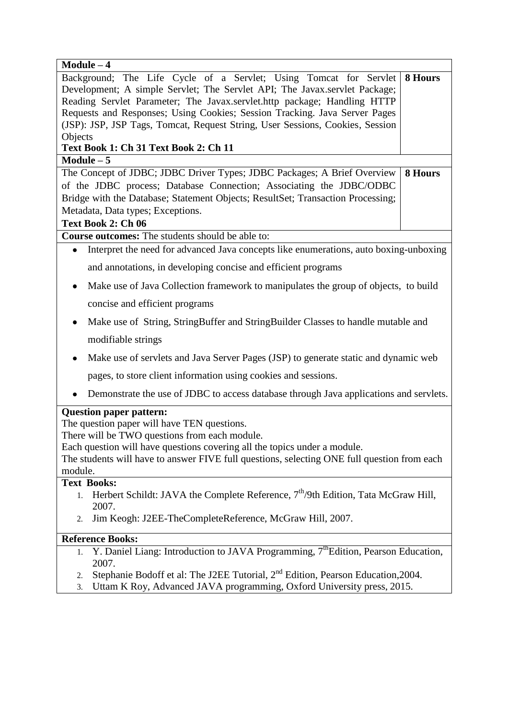| $Module - 4$                                                                                                                                                             |         |
|--------------------------------------------------------------------------------------------------------------------------------------------------------------------------|---------|
| Background; The Life Cycle of a Servlet; Using Tomcat for Servlet                                                                                                        | 8 Hours |
| Development; A simple Servlet; The Servlet API; The Javax.servlet Package;                                                                                               |         |
| Reading Servlet Parameter; The Javax.servlet.http package; Handling HTTP                                                                                                 |         |
| Requests and Responses; Using Cookies; Session Tracking. Java Server Pages                                                                                               |         |
| (JSP): JSP, JSP Tags, Tomcat, Request String, User Sessions, Cookies, Session                                                                                            |         |
| Objects                                                                                                                                                                  |         |
| Text Book 1: Ch 31 Text Book 2: Ch 11<br>$Module - 5$                                                                                                                    |         |
| The Concept of JDBC; JDBC Driver Types; JDBC Packages; A Brief Overview                                                                                                  | 8 Hours |
| of the JDBC process; Database Connection; Associating the JDBC/ODBC                                                                                                      |         |
| Bridge with the Database; Statement Objects; ResultSet; Transaction Processing;                                                                                          |         |
| Metadata, Data types; Exceptions.                                                                                                                                        |         |
| Text Book 2: Ch 06                                                                                                                                                       |         |
| Course outcomes: The students should be able to:                                                                                                                         |         |
| Interpret the need for advanced Java concepts like enumerations, auto boxing-unboxing<br>$\bullet$                                                                       |         |
| and annotations, in developing concise and efficient programs                                                                                                            |         |
| Make use of Java Collection framework to manipulates the group of objects, to build<br>$\bullet$                                                                         |         |
| concise and efficient programs                                                                                                                                           |         |
| Make use of String, StringBuffer and StringBuilder Classes to handle mutable and                                                                                         |         |
| modifiable strings                                                                                                                                                       |         |
| Make use of servlets and Java Server Pages (JSP) to generate static and dynamic web                                                                                      |         |
| pages, to store client information using cookies and sessions.                                                                                                           |         |
| Demonstrate the use of JDBC to access database through Java applications and servlets.                                                                                   |         |
| <b>Question paper pattern:</b>                                                                                                                                           |         |
| The question paper will have TEN questions.                                                                                                                              |         |
| There will be TWO questions from each module.                                                                                                                            |         |
| Each question will have questions covering all the topics under a module.<br>The students will have to answer FIVE full questions, selecting ONE full question from each |         |
| module.                                                                                                                                                                  |         |
| <b>Text Books:</b>                                                                                                                                                       |         |
| Herbert Schildt: JAVA the Complete Reference, $7th/9$ th Edition, Tata McGraw Hill,<br>1.                                                                                |         |
| 2007.                                                                                                                                                                    |         |
| Jim Keogh: J2EE-TheCompleteReference, McGraw Hill, 2007.<br>2.                                                                                                           |         |
| <b>Reference Books:</b>                                                                                                                                                  |         |
| Y. Daniel Liang: Introduction to JAVA Programming, 7 <sup>th</sup> Edition, Pearson Education,<br>1.<br>2007.                                                            |         |
| Stephanie Bodoff et al: The J2EE Tutorial, 2 <sup>nd</sup> Edition, Pearson Education, 2004.<br>2.                                                                       |         |
| Uttam K Roy, Advanced JAVA programming, Oxford University press, 2015.<br>3.                                                                                             |         |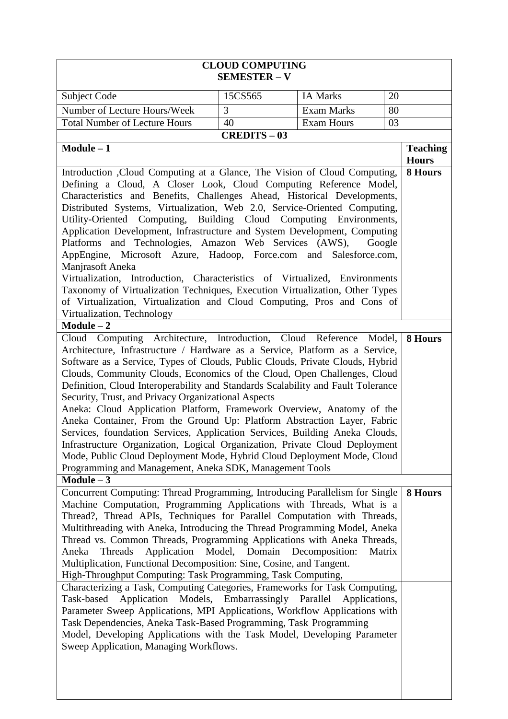| <b>CLOUD COMPUTING</b><br><b>SEMESTER - V</b>                                                                                                                                                                                                                                                                                                                                                                                                                                                                                                                                                                                                                                                                                                                                                                                                                                                                                                                                                                                                                                                                                                                                                                                                                                                                                                                                                                                                                                                                                                                                                                                                                                                                                                                                                                                                               |                                  |                                 |                                 |
|-------------------------------------------------------------------------------------------------------------------------------------------------------------------------------------------------------------------------------------------------------------------------------------------------------------------------------------------------------------------------------------------------------------------------------------------------------------------------------------------------------------------------------------------------------------------------------------------------------------------------------------------------------------------------------------------------------------------------------------------------------------------------------------------------------------------------------------------------------------------------------------------------------------------------------------------------------------------------------------------------------------------------------------------------------------------------------------------------------------------------------------------------------------------------------------------------------------------------------------------------------------------------------------------------------------------------------------------------------------------------------------------------------------------------------------------------------------------------------------------------------------------------------------------------------------------------------------------------------------------------------------------------------------------------------------------------------------------------------------------------------------------------------------------------------------------------------------------------------------|----------------------------------|---------------------------------|---------------------------------|
| Subject Code                                                                                                                                                                                                                                                                                                                                                                                                                                                                                                                                                                                                                                                                                                                                                                                                                                                                                                                                                                                                                                                                                                                                                                                                                                                                                                                                                                                                                                                                                                                                                                                                                                                                                                                                                                                                                                                | 15CS565                          | <b>IA Marks</b>                 | 20                              |
| Number of Lecture Hours/Week                                                                                                                                                                                                                                                                                                                                                                                                                                                                                                                                                                                                                                                                                                                                                                                                                                                                                                                                                                                                                                                                                                                                                                                                                                                                                                                                                                                                                                                                                                                                                                                                                                                                                                                                                                                                                                | 3<br>80<br><b>Exam Marks</b>     |                                 |                                 |
| <b>Total Number of Lecture Hours</b>                                                                                                                                                                                                                                                                                                                                                                                                                                                                                                                                                                                                                                                                                                                                                                                                                                                                                                                                                                                                                                                                                                                                                                                                                                                                                                                                                                                                                                                                                                                                                                                                                                                                                                                                                                                                                        | 40                               | <b>Exam Hours</b>               | 03                              |
|                                                                                                                                                                                                                                                                                                                                                                                                                                                                                                                                                                                                                                                                                                                                                                                                                                                                                                                                                                                                                                                                                                                                                                                                                                                                                                                                                                                                                                                                                                                                                                                                                                                                                                                                                                                                                                                             | <b>CREDITS</b> – $\overline{03}$ |                                 |                                 |
| $Module - 1$                                                                                                                                                                                                                                                                                                                                                                                                                                                                                                                                                                                                                                                                                                                                                                                                                                                                                                                                                                                                                                                                                                                                                                                                                                                                                                                                                                                                                                                                                                                                                                                                                                                                                                                                                                                                                                                |                                  |                                 | <b>Teaching</b><br><b>Hours</b> |
| 8 Hours<br>Introduction , Cloud Computing at a Glance, The Vision of Cloud Computing,<br>Defining a Cloud, A Closer Look, Cloud Computing Reference Model,<br>Characteristics and Benefits, Challenges Ahead, Historical Developments,<br>Distributed Systems, Virtualization, Web 2.0, Service-Oriented Computing,<br>Utility-Oriented Computing, Building Cloud Computing Environments,<br>Application Development, Infrastructure and System Development, Computing<br>Platforms and Technologies, Amazon Web Services (AWS),<br>Google<br>AppEngine, Microsoft Azure, Hadoop, Force.com and Salesforce.com,<br>Manjrasoft Aneka<br>Virtualization, Introduction, Characteristics of Virtualized, Environments<br>Taxonomy of Virtualization Techniques, Execution Virtualization, Other Types<br>of Virtualization, Virtualization and Cloud Computing, Pros and Cons of<br>Virtualization, Technology<br>$Module - 2$<br>Cloud Computing Architecture, Introduction, Cloud Reference Model,<br>8 Hours<br>Architecture, Infrastructure / Hardware as a Service, Platform as a Service,<br>Software as a Service, Types of Clouds, Public Clouds, Private Clouds, Hybrid<br>Clouds, Community Clouds, Economics of the Cloud, Open Challenges, Cloud<br>Definition, Cloud Interoperability and Standards Scalability and Fault Tolerance<br>Security, Trust, and Privacy Organizational Aspects<br>Aneka: Cloud Application Platform, Framework Overview, Anatomy of the<br>Aneka Container, From the Ground Up: Platform Abstraction Layer, Fabric<br>Services, foundation Services, Application Services, Building Aneka Clouds,<br>Infrastructure Organization, Logical Organization, Private Cloud Deployment<br>Mode, Public Cloud Deployment Mode, Hybrid Cloud Deployment Mode, Cloud<br>Programming and Management, Aneka SDK, Management Tools |                                  |                                 |                                 |
| Concurrent Computing: Thread Programming, Introducing Parallelism for Single<br>Machine Computation, Programming Applications with Threads, What is a<br>Thread?, Thread APIs, Techniques for Parallel Computation with Threads,<br>Multithreading with Aneka, Introducing the Thread Programming Model, Aneka<br>Thread vs. Common Threads, Programming Applications with Aneka Threads,<br>Application<br>Aneka<br>Threads<br>Multiplication, Functional Decomposition: Sine, Cosine, and Tangent.<br>High-Throughput Computing: Task Programming, Task Computing,<br>Characterizing a Task, Computing Categories, Frameworks for Task Computing,<br>Application Models, Embarrassingly Parallel<br>Task-based<br>Parameter Sweep Applications, MPI Applications, Workflow Applications with<br>Task Dependencies, Aneka Task-Based Programming, Task Programming<br>Model, Developing Applications with the Task Model, Developing Parameter<br>Sweep Application, Managing Workflows.                                                                                                                                                                                                                                                                                                                                                                                                                                                                                                                                                                                                                                                                                                                                                                                                                                                                   | Model,<br>Domain                 | Decomposition:<br>Applications, | 8 Hours<br>Matrix               |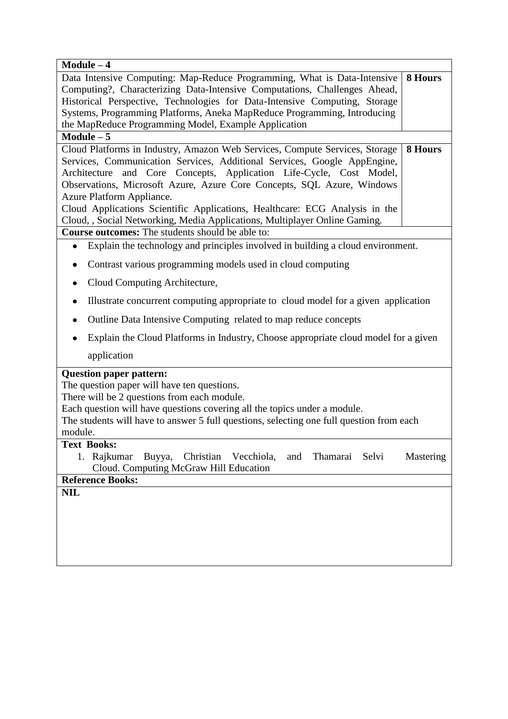| $\overline{\text{Module}} - 4$                                                                                                                                                                                                                                                                                                                                                                                                                                                                                                                                |           |  |
|---------------------------------------------------------------------------------------------------------------------------------------------------------------------------------------------------------------------------------------------------------------------------------------------------------------------------------------------------------------------------------------------------------------------------------------------------------------------------------------------------------------------------------------------------------------|-----------|--|
| Data Intensive Computing: Map-Reduce Programming, What is Data-Intensive<br>Computing?, Characterizing Data-Intensive Computations, Challenges Ahead,<br>Historical Perspective, Technologies for Data-Intensive Computing, Storage<br>Systems, Programming Platforms, Aneka MapReduce Programming, Introducing<br>the MapReduce Programming Model, Example Application                                                                                                                                                                                       | 8 Hours   |  |
| Module $-5$                                                                                                                                                                                                                                                                                                                                                                                                                                                                                                                                                   |           |  |
| Cloud Platforms in Industry, Amazon Web Services, Compute Services, Storage<br>Services, Communication Services, Additional Services, Google AppEngine,<br>Architecture and Core Concepts, Application Life-Cycle, Cost Model,<br>Observations, Microsoft Azure, Azure Core Concepts, SQL Azure, Windows<br>Azure Platform Appliance.<br>Cloud Applications Scientific Applications, Healthcare: ECG Analysis in the<br>Cloud, , Social Networking, Media Applications, Multiplayer Online Gaming.<br><b>Course outcomes:</b> The students should be able to: | 8 Hours   |  |
| Explain the technology and principles involved in building a cloud environment.<br>$\bullet$                                                                                                                                                                                                                                                                                                                                                                                                                                                                  |           |  |
| Contrast various programming models used in cloud computing<br>٠                                                                                                                                                                                                                                                                                                                                                                                                                                                                                              |           |  |
| Cloud Computing Architecture,                                                                                                                                                                                                                                                                                                                                                                                                                                                                                                                                 |           |  |
| Illustrate concurrent computing appropriate to cloud model for a given application<br>٠                                                                                                                                                                                                                                                                                                                                                                                                                                                                       |           |  |
| Outline Data Intensive Computing related to map reduce concepts                                                                                                                                                                                                                                                                                                                                                                                                                                                                                               |           |  |
| Explain the Cloud Platforms in Industry, Choose appropriate cloud model for a given                                                                                                                                                                                                                                                                                                                                                                                                                                                                           |           |  |
| application                                                                                                                                                                                                                                                                                                                                                                                                                                                                                                                                                   |           |  |
| <b>Question paper pattern:</b><br>The question paper will have ten questions.<br>There will be 2 questions from each module.<br>Each question will have questions covering all the topics under a module.<br>The students will have to answer 5 full questions, selecting one full question from each<br>module.<br><b>Text Books:</b>                                                                                                                                                                                                                        |           |  |
| Rajkumar<br>Christian Vecchiola,<br>Buyya,<br>and<br>Thamarai<br>Selvi<br>Cloud. Computing McGraw Hill Education                                                                                                                                                                                                                                                                                                                                                                                                                                              | Mastering |  |
| <b>Reference Books:</b>                                                                                                                                                                                                                                                                                                                                                                                                                                                                                                                                       |           |  |
| <b>NIL</b>                                                                                                                                                                                                                                                                                                                                                                                                                                                                                                                                                    |           |  |
|                                                                                                                                                                                                                                                                                                                                                                                                                                                                                                                                                               |           |  |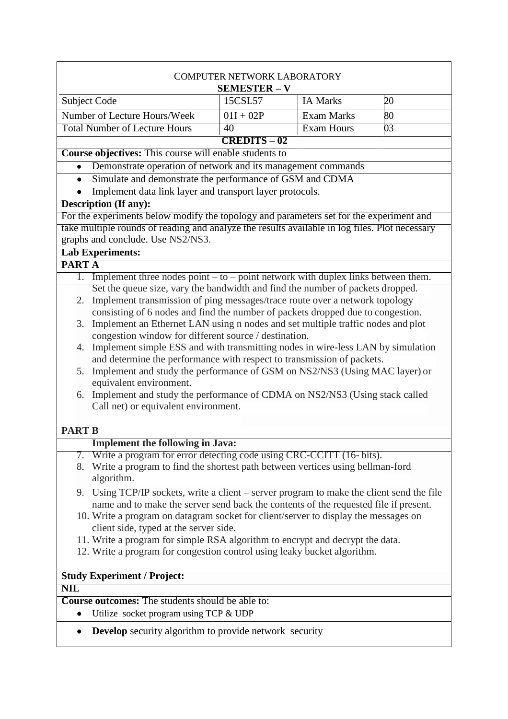| <b>COMPUTER NETWORK LABORATORY</b><br><b>SEMESTER - V</b>                                                                                                 |                |                   |                 |  |
|-----------------------------------------------------------------------------------------------------------------------------------------------------------|----------------|-------------------|-----------------|--|
| Subject Code                                                                                                                                              | 15CSL57        | <b>IA Marks</b>   | 20              |  |
| Number of Lecture Hours/Week                                                                                                                              | $01I + 02P$    | <b>Exam Marks</b> | 80              |  |
| <b>Total Number of Lecture Hours</b>                                                                                                                      | 40             | Exam Hours        | $\overline{03}$ |  |
|                                                                                                                                                           | $CREDITS - 02$ |                   |                 |  |
| <b>Course objectives:</b> This course will enable students to                                                                                             |                |                   |                 |  |
| Demonstrate operation of network and its management commands                                                                                              |                |                   |                 |  |
| Simulate and demonstrate the performance of GSM and CDMA<br>$\bullet$                                                                                     |                |                   |                 |  |
| Implement data link layer and transport layer protocols.                                                                                                  |                |                   |                 |  |
| Description (If any):                                                                                                                                     |                |                   |                 |  |
| For the experiments below modify the topology and parameters set for the experiment and                                                                   |                |                   |                 |  |
| take multiple rounds of reading and analyze the results available in log files. Plot necessary<br>graphs and conclude. Use NS2/NS3.                       |                |                   |                 |  |
| <b>Lab Experiments:</b>                                                                                                                                   |                |                   |                 |  |
| <b>PARTA</b>                                                                                                                                              |                |                   |                 |  |
| Implement three nodes point $-$ to $-$ point network with duplex links between them.<br>1.                                                                |                |                   |                 |  |
| Set the queue size, vary the bandwidth and find the number of packets dropped.                                                                            |                |                   |                 |  |
| Implement transmission of ping messages/trace route over a network topology<br>2.                                                                         |                |                   |                 |  |
| consisting of 6 nodes and find the number of packets dropped due to congestion.                                                                           |                |                   |                 |  |
| Implement an Ethernet LAN using n nodes and set multiple traffic nodes and plot<br>3.                                                                     |                |                   |                 |  |
| congestion window for different source / destination.                                                                                                     |                |                   |                 |  |
| 4. Implement simple ESS and with transmitting nodes in wire-less LAN by simulation                                                                        |                |                   |                 |  |
| and determine the performance with respect to transmission of packets.                                                                                    |                |                   |                 |  |
| Implement and study the performance of GSM on NS2/NS3 (Using MAC layer) or<br>5.<br>equivalent environment.                                               |                |                   |                 |  |
| 6. Implement and study the performance of CDMA on NS2/NS3 (Using stack called                                                                             |                |                   |                 |  |
| Call net) or equivalent environment.                                                                                                                      |                |                   |                 |  |
|                                                                                                                                                           |                |                   |                 |  |
| <b>PART B</b>                                                                                                                                             |                |                   |                 |  |
| <b>Implement the following in Java:</b>                                                                                                                   |                |                   |                 |  |
| Write a program for error detecting code using CRC-CCITT (16-bits).<br>7.                                                                                 |                |                   |                 |  |
| 8. Write a program to find the shortest path between vertices using bellman-ford                                                                          |                |                   |                 |  |
|                                                                                                                                                           | algorithm.     |                   |                 |  |
| 9. Using TCP/IP sockets, write a client – server program to make the client send the file                                                                 |                |                   |                 |  |
| name and to make the server send back the contents of the requested file if present.                                                                      |                |                   |                 |  |
| 10. Write a program on datagram socket for client/server to display the messages on                                                                       |                |                   |                 |  |
| client side, typed at the server side.                                                                                                                    |                |                   |                 |  |
| 11. Write a program for simple RSA algorithm to encrypt and decrypt the data.<br>12. Write a program for congestion control using leaky bucket algorithm. |                |                   |                 |  |
|                                                                                                                                                           |                |                   |                 |  |
| <b>Study Experiment / Project:</b>                                                                                                                        |                |                   |                 |  |
| <b>NIL</b>                                                                                                                                                |                |                   |                 |  |
| <b>Course outcomes:</b> The students should be able to:                                                                                                   |                |                   |                 |  |
| Utilize socket program using TCP & UDP<br>$\bullet$                                                                                                       |                |                   |                 |  |
|                                                                                                                                                           |                |                   |                 |  |
| <b>Develop</b> security algorithm to provide network security<br>$\bullet$                                                                                |                |                   |                 |  |

 $\overline{\phantom{a}}$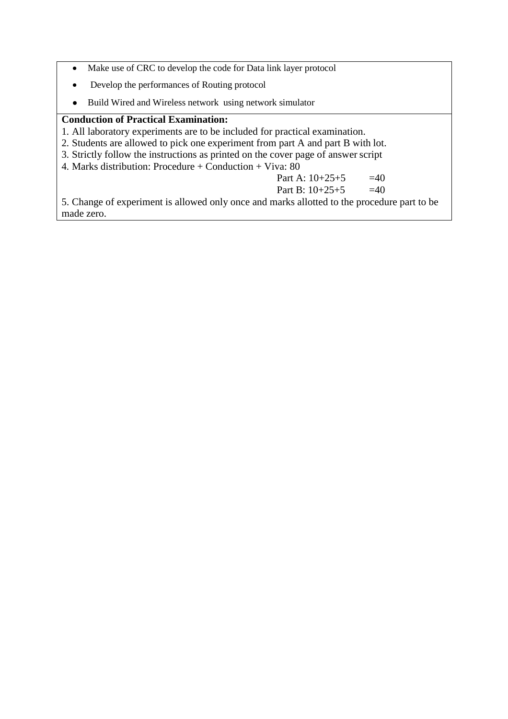- Make use of CRC to develop the code for Data link layer protocol  $\bullet$
- Develop the performances of Routing protocol  $\bullet$
- Build Wired and Wireless network using network simulator  $\bullet$

### **Conduction of Practical Examination:**

- 1. All laboratory experiments are to be included for practical examination.
- 2. Students are allowed to pick one experiment from part A and part B with lot.
- 3. Strictly follow the instructions as printed on the cover page of answer script
- 4. Marks distribution: Procedure + Conduction + Viva: 80

Part A:  $10+25+5$  =40

Part B:  $10+25+5$  =40

5. Change of experiment is allowed only once and marks allotted to the procedure part to be made zero.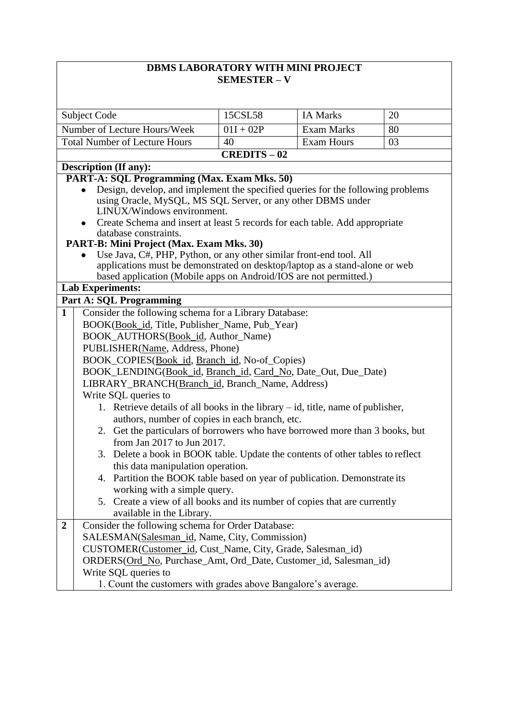## **DBMS LABORATORY WITH MINI PROJECT SEMESTER – V**

| <b>Subject Code</b>                                                                                                            | 15CSL58                                                          | <b>IA Marks</b>   | 20 |  |  |
|--------------------------------------------------------------------------------------------------------------------------------|------------------------------------------------------------------|-------------------|----|--|--|
|                                                                                                                                |                                                                  |                   |    |  |  |
| Number of Lecture Hours/Week                                                                                                   | $01I + 02P$                                                      | <b>Exam Marks</b> | 80 |  |  |
| <b>Total Number of Lecture Hours</b>                                                                                           | 40                                                               | <b>Exam Hours</b> | 03 |  |  |
| $CREDITS - 02$                                                                                                                 |                                                                  |                   |    |  |  |
| <b>Description (If any):</b>                                                                                                   |                                                                  |                   |    |  |  |
| PART-A: SQL Programming (Max. Exam Mks. 50)                                                                                    |                                                                  |                   |    |  |  |
| Design, develop, and implement the specified queries for the following problems                                                |                                                                  |                   |    |  |  |
| using Oracle, MySQL, MS SQL Server, or any other DBMS under<br>LINUX/Windows environment.                                      |                                                                  |                   |    |  |  |
| • Create Schema and insert at least 5 records for each table. Add appropriate                                                  |                                                                  |                   |    |  |  |
| database constraints.                                                                                                          |                                                                  |                   |    |  |  |
| PART-B: Mini Project (Max. Exam Mks. 30)                                                                                       |                                                                  |                   |    |  |  |
| Use Java, C#, PHP, Python, or any other similar front-end tool. All                                                            |                                                                  |                   |    |  |  |
| applications must be demonstrated on desktop/laptop as a stand-alone or web                                                    |                                                                  |                   |    |  |  |
| based application (Mobile apps on Android/IOS are not permitted.)                                                              |                                                                  |                   |    |  |  |
| <b>Lab Experiments:</b>                                                                                                        |                                                                  |                   |    |  |  |
| <b>Part A: SQL Programming</b>                                                                                                 |                                                                  |                   |    |  |  |
| Consider the following schema for a Library Database:<br>$\mathbf{1}$                                                          |                                                                  |                   |    |  |  |
|                                                                                                                                | BOOK(Book_id, Title, Publisher_Name, Pub_Year)                   |                   |    |  |  |
| BOOK_AUTHORS(Book_id, Author_Name)                                                                                             |                                                                  |                   |    |  |  |
| PUBLISHER(Name, Address, Phone)                                                                                                |                                                                  |                   |    |  |  |
| BOOK_COPIES(Book_id, Branch_id, No-of_Copies)                                                                                  |                                                                  |                   |    |  |  |
| BOOK_LENDING(Book_id, Branch_id, Card_No, Date_Out, Due_Date)                                                                  |                                                                  |                   |    |  |  |
| LIBRARY_BRANCH(Branch_id, Branch_Name, Address)                                                                                |                                                                  |                   |    |  |  |
| Write SQL queries to                                                                                                           |                                                                  |                   |    |  |  |
| 1. Retrieve details of all books in the library – id, title, name of publisher,                                                |                                                                  |                   |    |  |  |
| authors, number of copies in each branch, etc.<br>2. Get the particulars of borrowers who have borrowed more than 3 books, but |                                                                  |                   |    |  |  |
| from Jan 2017 to Jun 2017.                                                                                                     |                                                                  |                   |    |  |  |
| 3. Delete a book in BOOK table. Update the contents of other tables to reflect                                                 |                                                                  |                   |    |  |  |
| this data manipulation operation.                                                                                              |                                                                  |                   |    |  |  |
| 4. Partition the BOOK table based on year of publication. Demonstrate its                                                      |                                                                  |                   |    |  |  |
| working with a simple query.                                                                                                   |                                                                  |                   |    |  |  |
| 5. Create a view of all books and its number of copies that are currently                                                      |                                                                  |                   |    |  |  |
| available in the Library.                                                                                                      |                                                                  |                   |    |  |  |
| Consider the following schema for Order Database:<br>$\overline{2}$                                                            |                                                                  |                   |    |  |  |
| SALESMAN(Salesman_id, Name, City, Commission)                                                                                  |                                                                  |                   |    |  |  |
| CUSTOMER(Customer_id, Cust_Name, City, Grade, Salesman_id)                                                                     |                                                                  |                   |    |  |  |
|                                                                                                                                | ORDERS(Ord_No, Purchase_Amt, Ord_Date, Customer_id, Salesman_id) |                   |    |  |  |
| Write SQL queries to                                                                                                           |                                                                  |                   |    |  |  |
| 1. Count the customers with grades above Bangalore's average.                                                                  |                                                                  |                   |    |  |  |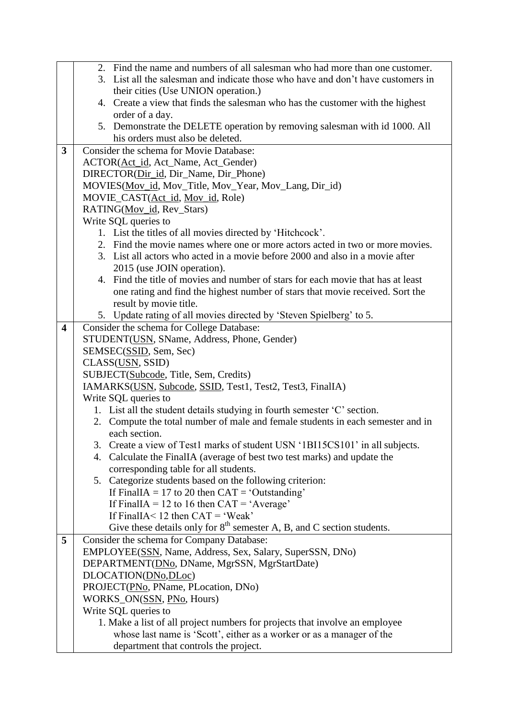|                         | 2. Find the name and numbers of all salesman who had more than one customer.                                                               |  |  |  |
|-------------------------|--------------------------------------------------------------------------------------------------------------------------------------------|--|--|--|
|                         | 3. List all the salesman and indicate those who have and don't have customers in                                                           |  |  |  |
|                         | their cities (Use UNION operation.)                                                                                                        |  |  |  |
|                         | 4. Create a view that finds the salesman who has the customer with the highest                                                             |  |  |  |
|                         | order of a day.                                                                                                                            |  |  |  |
|                         | 5. Demonstrate the DELETE operation by removing salesman with id 1000. All                                                                 |  |  |  |
|                         | his orders must also be deleted.                                                                                                           |  |  |  |
| 3                       | Consider the schema for Movie Database:                                                                                                    |  |  |  |
|                         | ACTOR(Act_id, Act_Name, Act_Gender)                                                                                                        |  |  |  |
|                         | DIRECTOR(Dir_id, Dir_Name, Dir_Phone)                                                                                                      |  |  |  |
|                         | MOVIES(Mov_id, Mov_Title, Mov_Year, Mov_Lang, Dir_id)                                                                                      |  |  |  |
|                         | MOVIE_CAST(Act_id, Mov_id, Role)                                                                                                           |  |  |  |
|                         | RATING(Mov_id, Rev_Stars)                                                                                                                  |  |  |  |
|                         | Write SQL queries to                                                                                                                       |  |  |  |
|                         | 1. List the titles of all movies directed by 'Hitchcock'.<br>2. Find the movie names where one or more actors acted in two or more movies. |  |  |  |
|                         |                                                                                                                                            |  |  |  |
|                         | 3. List all actors who acted in a movie before 2000 and also in a movie after<br>2015 (use JOIN operation).                                |  |  |  |
|                         | 4. Find the title of movies and number of stars for each movie that has at least                                                           |  |  |  |
|                         | one rating and find the highest number of stars that movie received. Sort the                                                              |  |  |  |
|                         | result by movie title.                                                                                                                     |  |  |  |
|                         | 5. Update rating of all movies directed by 'Steven Spielberg' to 5.                                                                        |  |  |  |
| $\overline{\mathbf{4}}$ | Consider the schema for College Database:                                                                                                  |  |  |  |
|                         | STUDENT(USN, SName, Address, Phone, Gender)                                                                                                |  |  |  |
|                         |                                                                                                                                            |  |  |  |
|                         | SEMSEC(SSID, Sem, Sec)                                                                                                                     |  |  |  |
|                         | CLASS(USN, SSID)<br>SUBJECT(Subcode, Title, Sem, Credits)                                                                                  |  |  |  |
|                         | IAMARKS(USN, Subcode, SSID, Test1, Test2, Test3, FinalIA)                                                                                  |  |  |  |
|                         | Write SQL queries to                                                                                                                       |  |  |  |
|                         | 1. List all the student details studying in fourth semester 'C' section.                                                                   |  |  |  |
|                         | 2. Compute the total number of male and female students in each semester and in                                                            |  |  |  |
|                         | each section.                                                                                                                              |  |  |  |
|                         | 3. Create a view of Test1 marks of student USN '1BI15CS101' in all subjects.                                                               |  |  |  |
|                         | Calculate the FinalIA (average of best two test marks) and update the<br>4.                                                                |  |  |  |
|                         | corresponding table for all students.                                                                                                      |  |  |  |
|                         | 5. Categorize students based on the following criterion:                                                                                   |  |  |  |
|                         | If FinalIA = 17 to 20 then $CAT = 'Outstanding'$                                                                                           |  |  |  |
|                         | If FinalIA = 12 to 16 then $CAT = 'Average'$                                                                                               |  |  |  |
|                         | If FinalIA < 12 then $CAT = 'Weak'$                                                                                                        |  |  |  |
|                         | Give these details only for $8th$ semester A, B, and C section students.                                                                   |  |  |  |
| 5                       | Consider the schema for Company Database:                                                                                                  |  |  |  |
|                         | EMPLOYEE(SSN, Name, Address, Sex, Salary, SuperSSN, DNo)                                                                                   |  |  |  |
|                         | DEPARTMENT(DNo, DName, MgrSSN, MgrStartDate)                                                                                               |  |  |  |
|                         | DLOCATION(DNo,DLoc)                                                                                                                        |  |  |  |
|                         | PROJECT(PNo, PName, PLocation, DNo)                                                                                                        |  |  |  |
|                         | WORKS_ON(SSN, PNo, Hours)                                                                                                                  |  |  |  |
|                         | Write SQL queries to                                                                                                                       |  |  |  |
|                         | 1. Make a list of all project numbers for projects that involve an employee                                                                |  |  |  |
|                         | whose last name is 'Scott', either as a worker or as a manager of the                                                                      |  |  |  |
|                         | department that controls the project.                                                                                                      |  |  |  |